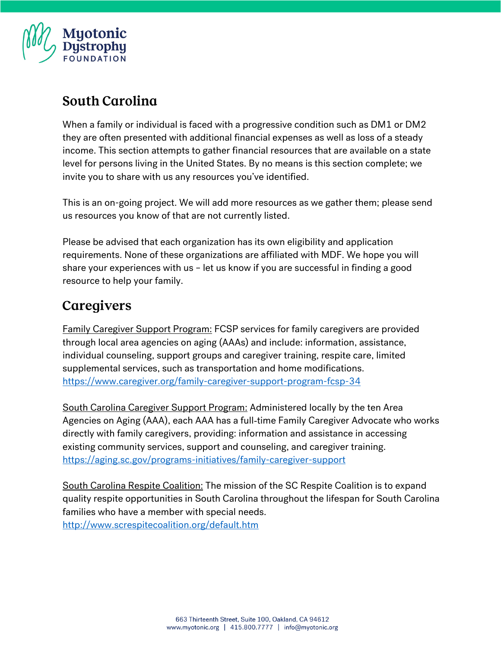

#### **South Carolina**

When a family or individual is faced with a progressive condition such as DM1 or DM2 they are often presented with additional financial expenses as well as loss of a steady income. This section attempts to gather financial resources that are available on a state level for persons living in the United States. By no means is this section complete; we invite you to share with us any resources you've identified.

This is an on-going project. We will add more resources as we gather them; please send us resources you know of that are not currently listed.

Please be advised that each organization has its own eligibility and application requirements. None of these organizations are affiliated with MDF. We hope you will share your experiences with us – let us know if you are successful in finding a good resource to help your family.

## Caregivers

Family Caregiver Support Program: FCSP services for family caregivers are provided through local area agencies on aging (AAAs) and include: information, assistance, individual counseling, support groups and caregiver training, respite care, limited supplemental services, such as transportation and home modifications. <https://www.caregiver.org/family-caregiver-support-program-fcsp-34>

South Carolina Caregiver Support Program: Administered locally by the ten Area Agencies on Aging (AAA), each AAA has a full‐time Family Caregiver Advocate who works directly with family caregivers, providing: information and assistance in accessing existing community services, support and counseling, and caregiver training. <https://aging.sc.gov/programs-initiatives/family-caregiver-support>

South Carolina Respite Coalition: The mission of the SC Respite Coalition is to expand quality respite opportunities in South Carolina throughout the lifespan for South Carolina families who have a member with special needs. <http://www.screspitecoalition.org/default.htm>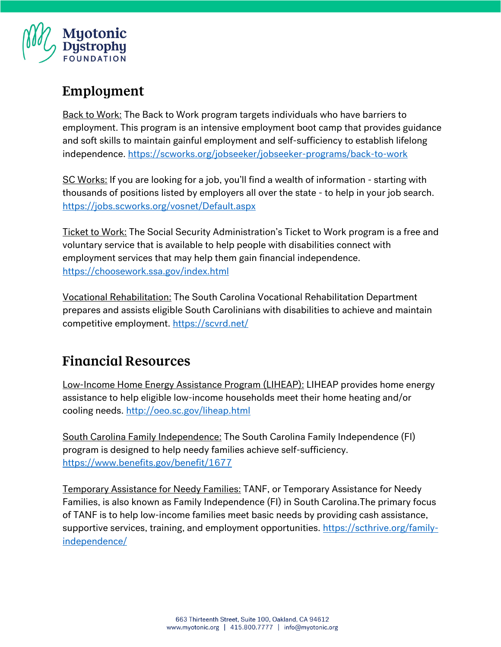

## Employment

**Back to Work:** The Back to Work program targets individuals who have barriers to employment. This program is an intensive employment boot camp that provides guidance and soft skills to maintain gainful employment and self-sufficiency to establish lifelong independence. <https://scworks.org/jobseeker/jobseeker-programs/back-to-work>

SC Works: If you are looking for a job, you'll find a wealth of information - starting with thousands of positions listed by employers all over the state - to help in your job search. <https://jobs.scworks.org/vosnet/Default.aspx>

Ticket to Work: The Social Security Administration's Ticket to Work program is a free and voluntary service that is available to help people with disabilities connect with employment services that may help them gain financial independence. <https://choosework.ssa.gov/index.html>

Vocational Rehabilitation: The South Carolina Vocational Rehabilitation Department prepares and assists eligible South Carolinians with disabilities to achieve and maintain competitive employment.<https://scvrd.net/>

#### **Financial Resources**

Low-Income Home Energy Assistance Program (LIHEAP): LIHEAP provides home energy assistance to help eligible low-income households meet their home heating and/or cooling needs. <http://oeo.sc.gov/liheap.html>

South Carolina Family Independence: The South Carolina Family Independence (FI) program is designed to help needy families achieve self-sufficiency. <https://www.benefits.gov/benefit/1677>

Temporary Assistance for Needy Families: TANF, or Temporary Assistance for Needy Families, is also known as Family Independence (FI) in South Carolina.The primary focus of TANF is to help low-income families meet basic needs by providing cash assistance, supportive services, training, and employment opportunities. [https://scthrive.org/family](https://scthrive.org/family-independence/)[independence/](https://scthrive.org/family-independence/)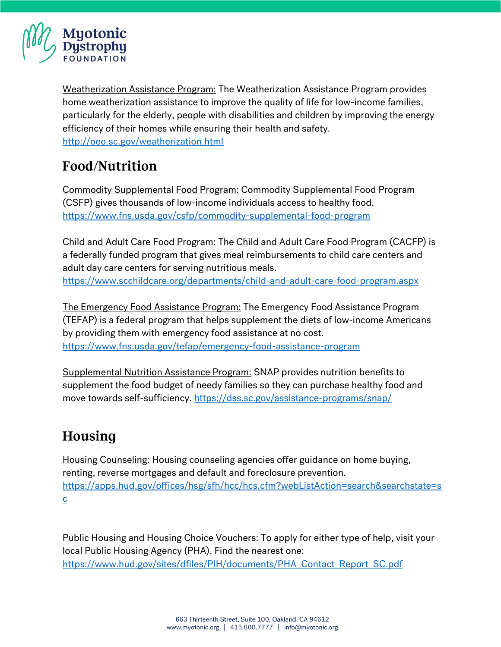

Weatherization Assistance Program: The Weatherization Assistance Program provides home weatherization assistance to improve the quality of life for low-income families, particularly for the elderly, people with disabilities and children by improving the energy efficiency of their homes while ensuring their health and safety. <http://oeo.sc.gov/weatherization.html>

## Food/Nutrition

Commodity Supplemental Food Program: Commodity Supplemental Food Program (CSFP) gives thousands of low-income individuals access to healthy food. <https://www.fns.usda.gov/csfp/commodity-supplemental-food-program>

Child and Adult Care Food Program: The Child and Adult Care Food Program (CACFP) is a federally funded program that gives meal reimbursements to child care centers and adult day care centers for serving nutritious meals. <https://www.scchildcare.org/departments/child-and-adult-care-food-program.aspx>

The Emergency Food Assistance Program: The Emergency Food Assistance Program (TEFAP) is a federal program that helps supplement the diets of low-income Americans by providing them with emergency food assistance at no cost. <https://www.fns.usda.gov/tefap/emergency-food-assistance-program>

Supplemental Nutrition Assistance Program: SNAP provides nutrition benefits to supplement the food budget of needy families so they can purchase healthy food and move towards self-sufficiency. <https://dss.sc.gov/assistance-programs/snap/>

# Housing

Housing Counseling: Housing counseling agencies offer guidance on home buying, renting, reverse mortgages and default and foreclosure prevention. [https://apps.hud.gov/offices/hsg/sfh/hcc/hcs.cfm?webListAction=search&searchstate=s](https://apps.hud.gov/offices/hsg/sfh/hcc/hcs.cfm?webListAction=search&searchstate=sc) [c](https://apps.hud.gov/offices/hsg/sfh/hcc/hcs.cfm?webListAction=search&searchstate=sc)

Public Housing and Housing Choice Vouchers: To apply for either type of help, visit your local Public Housing Agency (PHA). Find the nearest one: [https://www.hud.gov/sites/dfiles/PIH/documents/PHA\\_Contact\\_Report\\_SC.pdf](https://www.hud.gov/sites/dfiles/PIH/documents/PHA_Contact_Report_SC.pdf)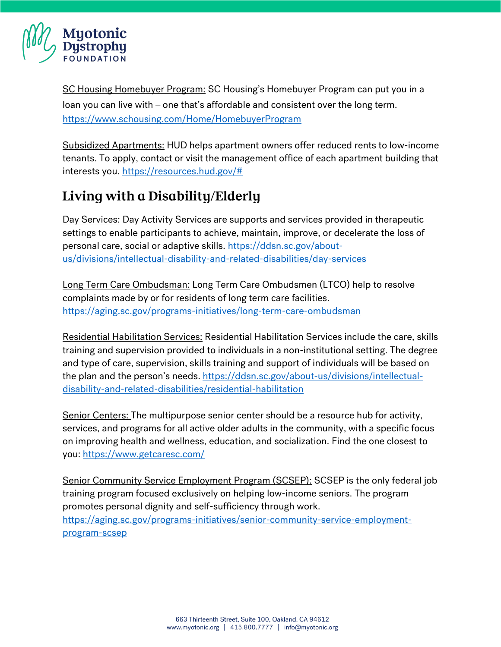

SC Housing Homebuyer Program: SC Housing's Homebuyer Program can put you in a loan you can live with – one that's affordable and consistent over the long term. <https://www.schousing.com/Home/HomebuyerProgram>

Subsidized Apartments: HUD helps apartment owners offer reduced rents to low-income tenants. To apply, contact or visit the management office of each apartment building that interests you. [https://resources.hud.gov/#](https://resources.hud.gov/)

# Living with a Disability/Elderly

Day Services: Day Activity Services are supports and services provided in therapeutic settings to enable participants to achieve, maintain, improve, or decelerate the loss of personal care, social or adaptive skills. [https://ddsn.sc.gov/about](https://ddsn.sc.gov/about-us/divisions/intellectual-disability-and-related-disabilities/day-services)[us/divisions/intellectual-disability-and-related-disabilities/day-services](https://ddsn.sc.gov/about-us/divisions/intellectual-disability-and-related-disabilities/day-services)

Long Term Care Ombudsman: Long Term Care Ombudsmen (LTCO) help to resolve complaints made by or for residents of long term care facilities. <https://aging.sc.gov/programs-initiatives/long-term-care-ombudsman>

Residential Habilitation Services: Residential Habilitation Services include the care, skills training and supervision provided to individuals in a non-institutional setting. The degree and type of care, supervision, skills training and support of individuals will be based on the plan and the person's needs. [https://ddsn.sc.gov/about-us/divisions/intellectual](https://ddsn.sc.gov/about-us/divisions/intellectual-disability-and-related-disabilities/residential-habilitation)[disability-and-related-disabilities/residential-habilitation](https://ddsn.sc.gov/about-us/divisions/intellectual-disability-and-related-disabilities/residential-habilitation)

Senior Centers: The multipurpose senior center should be a resource hub for activity, services, and programs for all active older adults in the community, with a specific focus on improving health and wellness, education, and socialization. Find the one closest to you:<https://www.getcaresc.com/>

Senior Community Service Employment Program (SCSEP): SCSEP is the only federal job training program focused exclusively on helping low-income seniors. The program promotes personal dignity and self-sufficiency through work. [https://aging.sc.gov/programs-initiatives/senior-community-service-employment](https://aging.sc.gov/programs-initiatives/senior-community-service-employment-program-scsep)[program-scsep](https://aging.sc.gov/programs-initiatives/senior-community-service-employment-program-scsep)